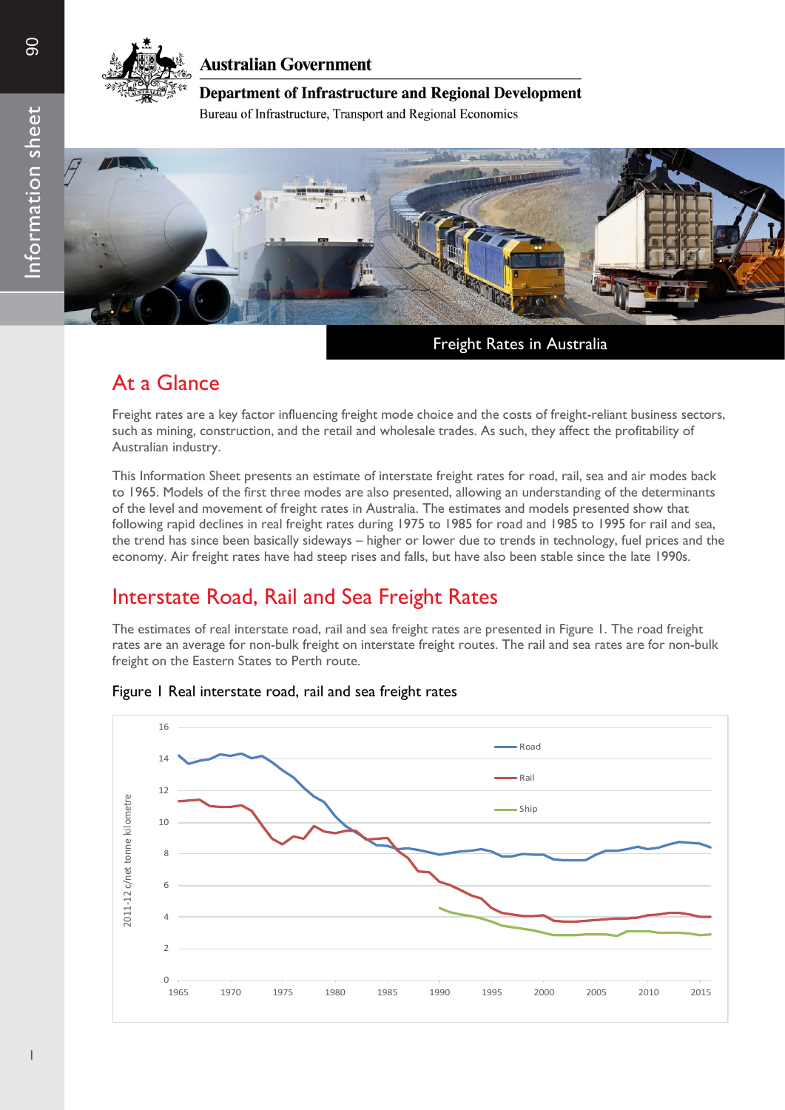

### **Australian Government**

### **Department of Infrastructure and Regional Development**

Bureau of Infrastructure, Transport and Regional Economics



Freight Rates in Australia

## At a Glance

Freight rates are a key factor influencing freight mode choice and the costs of freight-reliant business sectors, such as mining, construction, and the retail and wholesale trades. As such, they affect the profitability of Australian industry.

This Information Sheet presents an estimate of interstate freight rates for road, rail, sea and air modes back to 1965. Models of the first three modes are also presented, allowing an understanding of the determinants of the level and movement of freight rates in Australia. The estimates and models presented show that following rapid declines in real freight rates during 1975 to 1985 for road and 1985 to 1995 for rail and sea, the trend has since been basically sideways – higher or lower due to trends in technology, fuel prices and the economy. Air freight rates have had steep rises and falls, but have also been stable since the late 1990s.

## Interstate Road, Rail and Sea Freight Rates

The estimates of real interstate road, rail and sea freight rates are presented in Figure 1. The road freight rates are an average for non-bulk freight on interstate freight routes. The rail and sea rates are for non-bulk freight on the Eastern States to Perth route.



### Figure 1 Real interstate road, rail and sea freight rates

 $\Xi$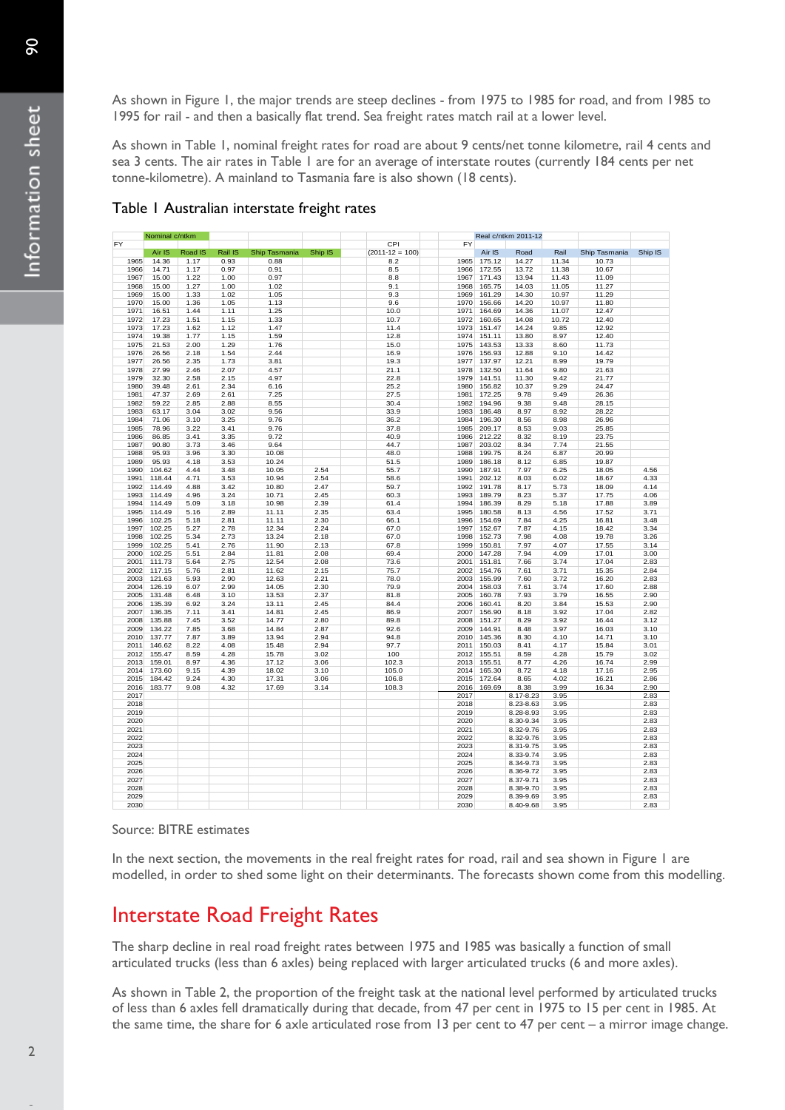As shown in Figure 1, the major trends are steep declines - from 1975 to 1985 for road, and from 1985 to 1995 for rail - and then a basically flat trend. Sea freight rates match rail at a lower level.

As shown in Table 1, nominal freight rates for road are about 9 cents/net tonne kilometre, rail 4 cents and sea 3 cents. The air rates in Table 1 are for an average of interstate routes (currently 184 cents per net tonne-kilometre). A mainland to Tasmania fare is also shown (18 cents).

|      | Nominal c/ntkm |         |         |               |         |                 | Real c/ntkm 2011-12 |        |           |       |               |         |
|------|----------------|---------|---------|---------------|---------|-----------------|---------------------|--------|-----------|-------|---------------|---------|
| FY   |                |         |         |               |         | CPI             | FY                  |        |           |       |               |         |
|      | Air IS         | Road IS | Rail IS | Ship Tasmania | Ship IS | $(2011-12=100)$ |                     | Air IS | Road      | Rail  | Ship Tasmania | Ship IS |
| 1965 | 14.36          | 1.17    | 0.93    | 0.88          |         | 8.2             | 1965                | 175.12 | 14.27     | 11.34 | 10.73         |         |
| 1966 | 14.71          | 1.17    | 0.97    | 0.91          |         | 8.5             | 1966                | 172.55 | 13.72     | 11.38 | 10.67         |         |
| 1967 | 15.00          | 1.22    | 1.00    | 0.97          |         | 8.8             | 1967                | 171.43 | 13.94     | 11.43 | 11.09         |         |
| 1968 | 15.00          | 1.27    | 1.00    | 1.02          |         | 9.1             | 1968                | 165.75 | 14.03     | 11.05 | 11.27         |         |
| 1969 | 15.00          | 1.33    | 1.02    | 1.05          |         | 9.3             | 1969                | 161.29 | 14.30     | 10.97 | 11.29         |         |
| 1970 | 15.00          | 1.36    | 1.05    | 1.13          |         | 9.6             | 1970                | 156.66 | 14.20     | 10.97 | 11.80         |         |
| 1971 | 16.51          | 1.44    | 1.11    | 1.25          |         | 10.0            | 1971                | 164.69 | 14.36     | 11.07 | 12.47         |         |
| 1972 | 17.23          | 1.51    | 1.15    | 1.33          |         | 10.7            | 1972                | 160.65 | 14.08     | 10.72 | 12.40         |         |
| 1973 | 17.23          | 1.62    | 1.12    | 1.47          |         | 11.4            | 1973                | 151.47 | 14.24     | 9.85  | 12.92         |         |
| 1974 | 19.38          | 1.77    | 1.15    | 1.59          |         | 12.8            | 1974                | 151.11 | 13.80     | 8.97  | 12.40         |         |
| 1975 | 21.53          | 2.00    | 1.29    | 1.76          |         | 15.0            | 1975                | 143.53 | 13.33     | 8.60  | 11.73         |         |
| 1976 | 26.56          | 2.18    | 1.54    | 2.44          |         | 16.9            | 1976                | 156.93 | 12.88     | 9.10  | 14.42         |         |
| 1977 | 26.56          | 2.35    | 1.73    | 3.81          |         | 19.3            | 1977                | 137.97 | 12.21     | 8.99  | 19.79         |         |
| 1978 |                |         |         |               |         |                 |                     | 132.50 |           |       |               |         |
|      | 27.99          | 2.46    | 2.07    | 4.57          |         | 21.1            | 1978                |        | 11.64     | 9.80  | 21.63         |         |
| 1979 | 32.30          | 2.58    | 2.15    | 4.97          |         | 22.8            | 1979                | 141.51 | 11.30     | 9.42  | 21.77         |         |
| 1980 | 39.48          | 2.61    | 2.34    | 6.16          |         | 25.2            | 1980                | 156.82 | 10.37     | 9.29  | 24.47         |         |
| 1981 | 47.37          | 2.69    | 2.61    | 7.25          |         | 27.5            | 1981                | 172.25 | 9.78      | 9.49  | 26.36         |         |
| 1982 | 59.22          | 2.85    | 2.88    | 8.55          |         | 30.4            | 1982                | 194.96 | 9.38      | 9.48  | 28.15         |         |
| 1983 | 63.17          | 3.04    | 3.02    | 9.56          |         | 33.9            | 1983                | 186.48 | 8.97      | 8.92  | 28.22         |         |
| 1984 | 71.06          | 3.10    | 3.25    | 9.76          |         | 36.2            | 1984                | 196.30 | 8.56      | 8.98  | 26.96         |         |
| 1985 | 78.96          | 3.22    | 3.41    | 9.76          |         | 37.8            | 1985                | 209.17 | 8.53      | 9.03  | 25.85         |         |
| 1986 | 86.85          | 3.41    | 3.35    | 9.72          |         | 40.9            | 1986                | 212.22 | 8.32      | 8.19  | 23.75         |         |
| 1987 | 90.80          | 3.73    | 3.46    | 9.64          |         | 44.7            | 1987                | 203.02 | 8.34      | 7.74  | 21.55         |         |
| 1988 | 95.93          | 3.96    | 3.30    | 10.08         |         | 48.0            | 1988                | 199.75 | 8.24      | 6.87  | 20.99         |         |
| 1989 | 95.93          | 4.18    | 3.53    | 10.24         |         | 51.5            | 1989                | 186.18 | 8.12      | 6.85  | 19.87         |         |
| 1990 | 104.62         | 4.44    | 3.48    | 10.05         | 2.54    | 55.7            | 1990                | 187.91 | 7.97      | 6.25  | 18.05         | 4.56    |
| 1991 | 118.44         | 4.71    | 3.53    | 10.94         | 2.54    | 58.6            | 1991                | 202.12 | 8.03      | 6.02  | 18.67         | 4.33    |
| 1992 | 114.49         | 4.88    | 3.42    | 10.80         | 2.47    | 59.7            | 1992                | 191.78 | 8.17      | 5.73  | 18.09         | 4.14    |
| 1993 | 114.49         | 4.96    | 3.24    | 10.71         | 2.45    | 60.3            | 1993                | 189.79 | 8.23      | 5.37  | 17.75         | 4.06    |
| 1994 | 114.49         | 5.09    | 3.18    | 10.98         | 2.39    | 61.4            | 1994                | 186.39 | 8.29      | 5.18  | 17.88         | 3.89    |
|      |                |         |         |               |         |                 |                     |        |           |       |               |         |
| 1995 | 114.49         | 5.16    | 2.89    | 11.11         | 2.35    | 63.4            | 1995                | 180.58 | 8.13      | 4.56  | 17.52         | 3.71    |
| 1996 | 102.25         | 5.18    | 2.81    | 11.11         | 2.30    | 66.1            | 1996                | 154.69 | 7.84      | 4.25  | 16.81         | 3.48    |
| 1997 | 102.25         | 5.27    | 2.78    | 12.34         | 2.24    | 67.0            | 1997                | 152.67 | 7.87      | 4.15  | 18.42         | 3.34    |
| 1998 | 102.25         | 5.34    | 2.73    | 13.24         | 2.18    | 67.0            | 1998                | 152.73 | 7.98      | 4.08  | 19.78         | 3.26    |
| 1999 | 102.25         | 5.41    | 2.76    | 11.90         | 2.13    | 67.8            | 1999                | 150.81 | 7.97      | 4.07  | 17.55         | 3.14    |
| 2000 | 102.25         | 5.51    | 2.84    | 11.81         | 2.08    | 69.4            | 2000                | 147.28 | 7.94      | 4.09  | 17.01         | 3.00    |
| 2001 | 111.73         | 5.64    | 2.75    | 12.54         | 2.08    | 73.6            | 2001                | 151.81 | 7.66      | 3.74  | 17.04         | 2.83    |
| 2002 | 117.15         | 5.76    | 2.81    | 11.62         | 2.15    | 75.7            | 2002                | 154.76 | 7.61      | 3.71  | 15.35         | 2.84    |
| 2003 | 121.63         | 5.93    | 2.90    | 12.63         | 2.21    | 78.0            | 2003                | 155.99 | 7.60      | 3.72  | 16.20         | 2.83    |
| 2004 | 126.19         | 6.07    | 2.99    | 14.05         | 2.30    | 79.9            | 2004                | 158.03 | 7.61      | 3.74  | 17.60         | 2.88    |
| 2005 | 131.48         | 6.48    | 3.10    | 13.53         | 2.37    | 81.8            | 2005                | 160.78 | 7.93      | 3.79  | 16.55         | 2.90    |
| 2006 | 135.39         | 6.92    | 3.24    | 13.11         | 2.45    | 84.4            | 2006                | 160.41 | 8.20      | 3.84  | 15.53         | 2.90    |
| 2007 | 136.35         | 7.11    | 3.41    | 14.81         | 2.45    | 86.9            | 2007                | 156.90 | 8.18      | 3.92  | 17.04         | 2.82    |
| 2008 | 135.88         | 7.45    | 3.52    | 14.77         | 2.80    | 89.8            | 2008                | 151.27 | 8.29      | 3.92  | 16.44         | 3.12    |
| 2009 | 134.22         | 7.85    | 3.68    | 14.84         | 2.87    | 92.6            | 2009                | 144.91 | 8.48      | 3.97  | 16.03         | 3.10    |
| 2010 | 137.77         | 7.87    | 3.89    | 13.94         | 2.94    | 94.8            | 2010                | 145.36 | 8.30      | 4.10  | 14.71         | 3.10    |
| 2011 | 146.62         | 8.22    | 4.08    | 15.48         | 2.94    | 97.7            | 2011                | 150.03 | 8.41      | 4.17  | 15.84         | 3.01    |
| 2012 | 155.47         | 8.59    | 4.28    | 15.78         | 3.02    | 100             | 2012                | 155.51 | 8.59      | 4.28  | 15.79         | 3.02    |
|      |                |         |         |               |         |                 |                     |        |           |       |               |         |
| 2013 | 159.01         | 8.97    | 4.36    | 17.12         | 3.06    | 102.3           | 2013                | 155.51 | 8.77      | 4.26  | 16.74         | 2.99    |
| 2014 | 173.60         | 9.15    | 4.39    | 18.02         | 3.10    | 105.0           | 2014                | 165.30 | 8.72      | 4.18  | 17.16         | 2.95    |
| 2015 | 184.42         | 9.24    | 4.30    | 17.31         | 3.06    | 106.8           | 2015                | 172.64 | 8.65      | 4.02  | 16.21         | 2.86    |
| 2016 | 183.77         | 9.08    | 4.32    | 17.69         | 3.14    | 108.3           | 2016                | 169.69 | 8.38      | 3.99  | 16.34         | 2.90    |
| 2017 |                |         |         |               |         |                 | 2017                |        | 8.17-8.23 | 3.95  |               | 2.83    |
| 2018 |                |         |         |               |         |                 | 2018                |        | 8.23-8.63 | 3.95  |               | 2.83    |
| 2019 |                |         |         |               |         |                 | 2019                |        | 8.28-8.93 | 3.95  |               | 2.83    |
| 2020 |                |         |         |               |         |                 | 2020                |        | 8.30-9.34 | 3.95  |               | 2.83    |
| 2021 |                |         |         |               |         |                 | 2021                |        | 8.32-9.76 | 3.95  |               | 2.83    |
| 2022 |                |         |         |               |         |                 | 2022                |        | 8.32-9.76 | 3.95  |               | 2.83    |
| 2023 |                |         |         |               |         |                 | 2023                |        | 8.31-9.75 | 3.95  |               | 2.83    |
| 2024 |                |         |         |               |         |                 | 2024                |        | 8.33-9.74 | 3.95  |               | 2.83    |
| 2025 |                |         |         |               |         |                 | 2025                |        | 8.34-9.73 | 3.95  |               | 2.83    |
| 2026 |                |         |         |               |         |                 | 2026                |        | 8.36-9.72 | 3.95  |               | 2.83    |
| 2027 |                |         |         |               |         |                 | 2027                |        | 8.37-9.71 | 3.95  |               | 2.83    |
|      |                |         |         |               |         |                 |                     |        |           |       |               |         |
| 2028 |                |         |         |               |         |                 | 2028                |        | 8.38-9.70 | 3.95  |               | 2.83    |
| 2029 |                |         |         |               |         |                 | 2029                |        | 8.39-9.69 | 3.95  |               | 2.83    |
| 2030 |                |         |         |               |         |                 | 2030                |        | 8.40-9.68 | 3.95  |               | 2.83    |

### Table 1 Australian interstate freight rates

Source: BITRE estimates

In the next section, the movements in the real freight rates for road, rail and sea shown in Figure 1 are modelled, in order to shed some light on their determinants. The forecasts shown come from this modelling.

## Interstate Road Freight Rates

The sharp decline in real road freight rates between 1975 and 1985 was basically a function of small articulated trucks (less than 6 axles) being replaced with larger articulated trucks (6 and more axles).

As shown in Table 2, the proportion of the freight task at the national level performed by articulated trucks of less than 6 axles fell dramatically during that decade, from 47 per cent in 1975 to 15 per cent in 1985. At the same time, the share for 6 axle articulated rose from 13 per cent to 47 per cent – a mirror image change.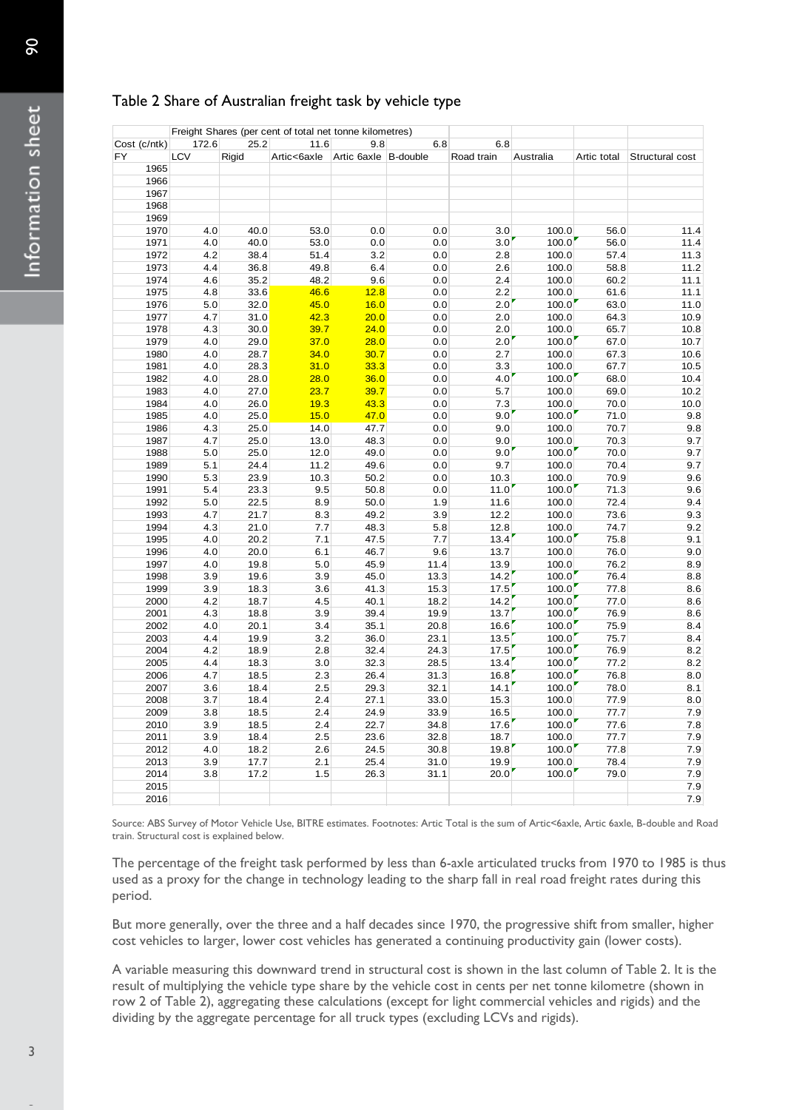### Table 2 Share of Australian freight task by vehicle type

| Cost (c/ntk)                                          | 172.6      | 25.2         | Freight Shares (per cent of total net tonne kilometres)<br>11.6 | 9.8                  | 6.8            | 6.8                                                                                                      |                |              |                                                                                                                                                                                                                                                                                                                                                                                                                                                           |
|-------------------------------------------------------|------------|--------------|-----------------------------------------------------------------|----------------------|----------------|----------------------------------------------------------------------------------------------------------|----------------|--------------|-----------------------------------------------------------------------------------------------------------------------------------------------------------------------------------------------------------------------------------------------------------------------------------------------------------------------------------------------------------------------------------------------------------------------------------------------------------|
| FY                                                    | LCV        | Rigid        | Artic<6axle                                                     | Artic 6axle B-double |                | Road train                                                                                               | Australia      | Artic total  | Structural cost                                                                                                                                                                                                                                                                                                                                                                                                                                           |
| 1965                                                  |            |              |                                                                 |                      |                |                                                                                                          |                |              |                                                                                                                                                                                                                                                                                                                                                                                                                                                           |
| 1966                                                  |            |              |                                                                 |                      |                |                                                                                                          |                |              |                                                                                                                                                                                                                                                                                                                                                                                                                                                           |
| 1967                                                  |            |              |                                                                 |                      |                |                                                                                                          |                |              |                                                                                                                                                                                                                                                                                                                                                                                                                                                           |
| 1968                                                  |            |              |                                                                 |                      |                |                                                                                                          |                |              |                                                                                                                                                                                                                                                                                                                                                                                                                                                           |
| 1969<br>1970                                          | 4.0        | 40.0         | 53.0                                                            | 0.0                  | 0.0            | 3.0                                                                                                      | 100.0          | 56.0         | 11.4                                                                                                                                                                                                                                                                                                                                                                                                                                                      |
| 1971                                                  | 4.0        | 40.0         | 53.0                                                            | 0.0                  | 0.0            | 3.0                                                                                                      | 100.0          | 56.0         | 11.4                                                                                                                                                                                                                                                                                                                                                                                                                                                      |
| 1972                                                  | 4.2        | 38.4         | 51.4                                                            | 3.2                  | 0.0            | 2.8                                                                                                      | 100.0          | 57.4         | 11.3                                                                                                                                                                                                                                                                                                                                                                                                                                                      |
| 1973                                                  | 4.4        | 36.8         | 49.8                                                            | 6.4                  | 0.0            | 2.6                                                                                                      | 100.0          | 58.8         | 11.2                                                                                                                                                                                                                                                                                                                                                                                                                                                      |
| 1974                                                  | 4.6        | 35.2         | 48.2                                                            | 9.6                  | 0.0            | 2.4                                                                                                      | 100.0          | 60.2         | 11.1                                                                                                                                                                                                                                                                                                                                                                                                                                                      |
| 1975                                                  | 4.8        | 33.6         | 46.6                                                            | 12.8                 | 0.0            | 2.2                                                                                                      | 100.0          | 61.6         | 11.1                                                                                                                                                                                                                                                                                                                                                                                                                                                      |
| 1976                                                  | 5.0        | 32.0         | 45.0<br>42.3                                                    | 16.0<br>20.0         | 0.0<br>0.0     | 2.0                                                                                                      | 100.0          | 63.0<br>64.3 | 11.0                                                                                                                                                                                                                                                                                                                                                                                                                                                      |
| 1977<br>1978                                          | 4.7<br>4.3 | 31.0<br>30.0 | 39.7                                                            | 24.0                 | 0.0            | 2.0<br>2.0                                                                                               | 100.0<br>100.0 | 65.7         | 10.9<br>10.8                                                                                                                                                                                                                                                                                                                                                                                                                                              |
| 1979                                                  | 4.0        | 29.0         | 37.0                                                            | 28.0                 | 0.0            | 2.0                                                                                                      | 100.0          | 67.0         | 10.7                                                                                                                                                                                                                                                                                                                                                                                                                                                      |
| 1980                                                  | 4.0        | 28.7         | 34.0                                                            | 30.7                 | 0.0            | 2.7                                                                                                      | 100.0          | 67.3         | 10.6                                                                                                                                                                                                                                                                                                                                                                                                                                                      |
| 1981                                                  | 4.0        | 28.3         | 31.0                                                            | 33.3                 | 0.0            | 3.3                                                                                                      | 100.0          | 67.7         | 10.5                                                                                                                                                                                                                                                                                                                                                                                                                                                      |
| 1982                                                  | 4.0        | 28.0         | 28.0                                                            | 36.0                 | $0.0\,$        | 4.0                                                                                                      | 100.0          | 68.0         | 10.4                                                                                                                                                                                                                                                                                                                                                                                                                                                      |
| 1983                                                  | 4.0        | 27.0         | 23.7                                                            | 39.7                 | 0.0            | 5.7                                                                                                      | 100.0          | 69.0         | 10.2                                                                                                                                                                                                                                                                                                                                                                                                                                                      |
| 1984                                                  | 4.0        | 26.0         | 19.3                                                            | 43.3                 | 0.0            | 7.3<br>9.0                                                                                               | 100.0          | 70.0         | 10.0                                                                                                                                                                                                                                                                                                                                                                                                                                                      |
| 1985<br>1986                                          | 4.0<br>4.3 | 25.0<br>25.0 | 15.0<br>14.0                                                    | 47.0<br>47.7         | 0.0<br>$0.0\,$ | 9.0                                                                                                      | 100.0<br>100.0 | 71.0<br>70.7 | 9.8<br>9.8                                                                                                                                                                                                                                                                                                                                                                                                                                                |
| 1987                                                  | 4.7        | 25.0         | 13.0                                                            | 48.3                 | 0.0            | 9.0                                                                                                      | 100.0          | 70.3         | 9.7                                                                                                                                                                                                                                                                                                                                                                                                                                                       |
| 1988                                                  | 5.0        | 25.0         | 12.0                                                            | 49.0                 | 0.0            | 9.0                                                                                                      | 100.0          | 70.0         | 9.7                                                                                                                                                                                                                                                                                                                                                                                                                                                       |
| 1989                                                  | 5.1        | 24.4         | 11.2                                                            | 49.6                 | 0.0            | 9.7                                                                                                      | 100.0          | 70.4         | 9.7                                                                                                                                                                                                                                                                                                                                                                                                                                                       |
| 1990                                                  | 5.3        | 23.9         | 10.3                                                            | 50.2                 | 0.0            | 10.3                                                                                                     | 100.0          | 70.9         | 9.6                                                                                                                                                                                                                                                                                                                                                                                                                                                       |
| 1991                                                  | 5.4        | 23.3         | 9.5                                                             | 50.8                 | $0.0\,$        | 11.0                                                                                                     | 100.0          | 71.3         | 9.6                                                                                                                                                                                                                                                                                                                                                                                                                                                       |
| 1992                                                  | 5.0        | 22.5         | 8.9                                                             | 50.0                 | 1.9            | 11.6                                                                                                     | 100.0          | 72.4         | 9.4                                                                                                                                                                                                                                                                                                                                                                                                                                                       |
| 1993<br>1994                                          | 4.7<br>4.3 | 21.7<br>21.0 | 8.3<br>7.7                                                      | 49.2<br>48.3         | 3.9<br>5.8     | 12.2<br>12.8                                                                                             | 100.0<br>100.0 | 73.6<br>74.7 | 9.3<br>9.2                                                                                                                                                                                                                                                                                                                                                                                                                                                |
| 1995                                                  | 4.0        | 20.2         | 7.1                                                             | 47.5                 | 7.7            | 13.4                                                                                                     | 100.0          | 75.8         | 9.1                                                                                                                                                                                                                                                                                                                                                                                                                                                       |
| 1996                                                  | 4.0        | 20.0         | 6.1                                                             | 46.7                 | 9.6            | 13.7                                                                                                     | 100.0          | 76.0         | 9.0                                                                                                                                                                                                                                                                                                                                                                                                                                                       |
| 1997                                                  | 4.0        | 19.8         | 5.0                                                             | 45.9                 | 11.4           | 13.9                                                                                                     | 100.0          | 76.2         | 8.9                                                                                                                                                                                                                                                                                                                                                                                                                                                       |
| 1998                                                  | 3.9        | 19.6         | 3.9                                                             | 45.0                 | 13.3           | 14.2                                                                                                     | 100.0          | 76.4         | 8.8                                                                                                                                                                                                                                                                                                                                                                                                                                                       |
| 1999                                                  | 3.9        | 18.3         | 3.6                                                             | 41.3                 | 15.3           | 17.5                                                                                                     | 100.0          | 77.8         | 8.6                                                                                                                                                                                                                                                                                                                                                                                                                                                       |
| 2000                                                  | 4.2        | 18.7         | 4.5                                                             | 40.1                 | 18.2           | 14.2                                                                                                     | 100.0          | 77.0         | 8.6                                                                                                                                                                                                                                                                                                                                                                                                                                                       |
| 2001                                                  | 4.3        | 18.8         | 3.9                                                             | 39.4                 | 19.9           | 13.7                                                                                                     | 100.0<br>100.0 | 76.9         | 8.6                                                                                                                                                                                                                                                                                                                                                                                                                                                       |
| 2002<br>2003                                          | 4.0<br>4.4 | 20.1<br>19.9 | 3.4<br>3.2                                                      | 35.1<br>36.0         | 20.8<br>23.1   | 16.6<br>13.5                                                                                             | 100.0          | 75.9<br>75.7 | 8.4<br>8.4                                                                                                                                                                                                                                                                                                                                                                                                                                                |
| 2004                                                  | 4.2        | 18.9         | 2.8                                                             | 32.4                 | 24.3           | 17.5                                                                                                     | 100.0          | 76.9         | 8.2                                                                                                                                                                                                                                                                                                                                                                                                                                                       |
| 2005                                                  | 4.4        | 18.3         | 3.0                                                             | 32.3                 | 28.5           | 13.4                                                                                                     | 100.0          | 77.2         | 8.2                                                                                                                                                                                                                                                                                                                                                                                                                                                       |
| 2006                                                  | 4.7        | 18.5         | 2.3                                                             | 26.4                 | 31.3           | 16.8                                                                                                     | 100.0          | 76.8         | 8.0                                                                                                                                                                                                                                                                                                                                                                                                                                                       |
| 2007                                                  | 3.6        | 18.4         | 2.5                                                             | 29.3                 | 32.1           | 14.1                                                                                                     | 100.0          | 78.0         | 8.1                                                                                                                                                                                                                                                                                                                                                                                                                                                       |
| 2008                                                  | 3.7        | 18.4         | 2.4                                                             | 27.1                 | 33.0           | 15.3                                                                                                     | 100.0          | 77.9         | 8.0                                                                                                                                                                                                                                                                                                                                                                                                                                                       |
| 2009                                                  | 3.8        | 18.5         | 2.4                                                             | 24.9                 | 33.9           | 16.5                                                                                                     | 100.0<br>100.0 | 77.7         | 7.9                                                                                                                                                                                                                                                                                                                                                                                                                                                       |
| 2010<br>2011                                          | 3.9<br>3.9 | 18.5<br>18.4 | 2.4<br>2.5                                                      | 22.7<br>23.6         | 34.8<br>32.8   | 17.6<br>18.7                                                                                             | 100.0          | 77.6<br>77.7 | 7.8<br>7.9                                                                                                                                                                                                                                                                                                                                                                                                                                                |
| 2012                                                  | 4.0        | 18.2         | 2.6                                                             | 24.5                 | 30.8           | 19.8                                                                                                     | 100.0          | 77.8         | 7.9                                                                                                                                                                                                                                                                                                                                                                                                                                                       |
| 2013                                                  | 3.9        | 17.7         | 2.1                                                             | 25.4                 | 31.0           | 19.9                                                                                                     | 100.0          | 78.4         | 7.9                                                                                                                                                                                                                                                                                                                                                                                                                                                       |
| 2014                                                  | 3.8        | 17.2         | 1.5                                                             | 26.3                 | 31.1           | 20.0                                                                                                     | 100.0          | 79.0         | 7.9                                                                                                                                                                                                                                                                                                                                                                                                                                                       |
| 2015                                                  |            |              |                                                                 |                      |                |                                                                                                          |                |              | 7.9                                                                                                                                                                                                                                                                                                                                                                                                                                                       |
| 2016                                                  |            |              |                                                                 |                      |                |                                                                                                          |                |              | 7.9                                                                                                                                                                                                                                                                                                                                                                                                                                                       |
| train. Structural cost is explained below.<br>period. |            |              |                                                                 |                      |                |                                                                                                          |                |              | Source: ABS Survey of Motor Vehicle Use, BITRE estimates. Footnotes: Artic Total is the sum of Artic<6axle, Artic 6axle, B-double and Ro<br>The percentage of the freight task performed by less than 6-axle articulated trucks from 1970 to 1985 is t<br>used as a proxy for the change in technology leading to the sharp fall in real road freight rates during this                                                                                   |
|                                                       |            |              |                                                                 |                      |                | cost vehicles to larger, lower cost vehicles has generated a continuing productivity gain (lower costs). |                |              | But more generally, over the three and a half decades since 1970, the progressive shift from smaller, highe<br>A variable measuring this downward trend in structural cost is shown in the last column of Table 2. It is tl<br>result of multiplying the vehicle type share by the vehicle cost in cents per net tonne kilometre (shown in<br>row 2 of Table 2), aggregating these calculations (except for light commercial vehicles and rigids) and the |
|                                                       |            |              |                                                                 |                      |                | dividing by the aggregate percentage for all truck types (excluding LCVs and rigids).                    |                |              |                                                                                                                                                                                                                                                                                                                                                                                                                                                           |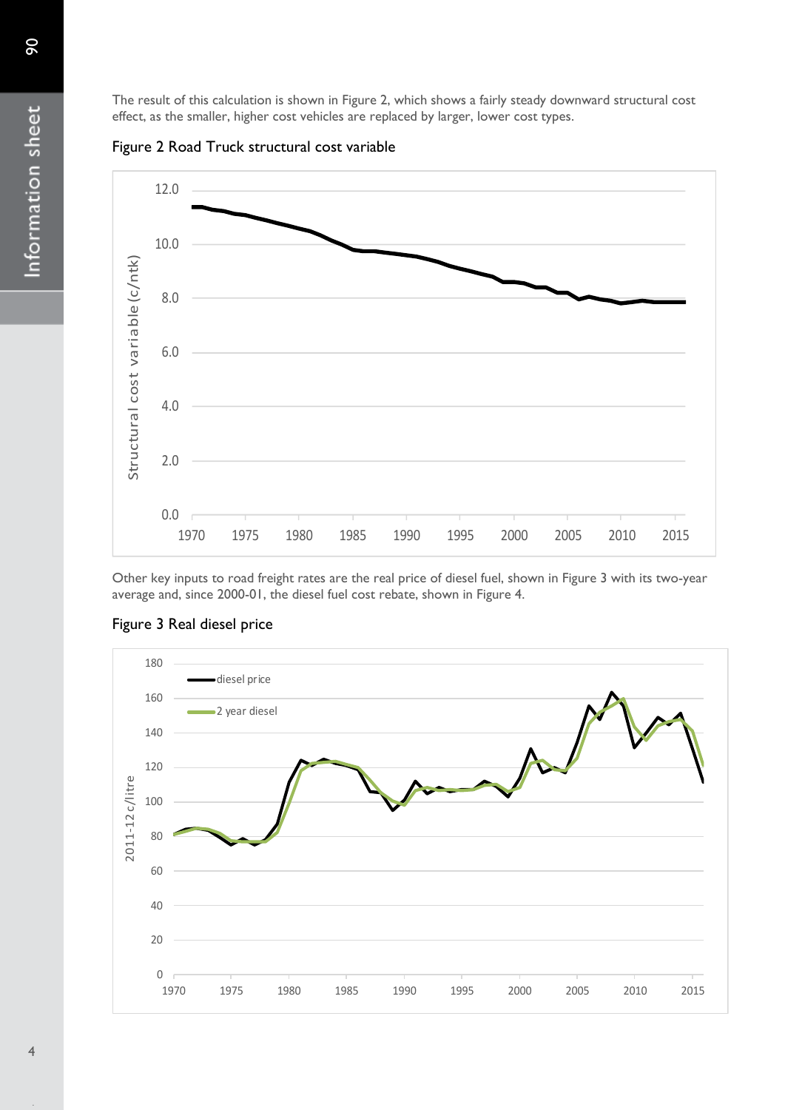The result of this calculation is shown in Figure 2, which shows a fairly steady downward structural cost effect, as the smaller, higher cost vehicles are replaced by larger, lower cost types.





Other key inputs to road freight rates are the real price of diesel fuel, shown in Figure 3 with its two-year average and, since 2000-01, the diesel fuel cost rebate, shown in Figure 4.



### Figure 3 Real diesel price

90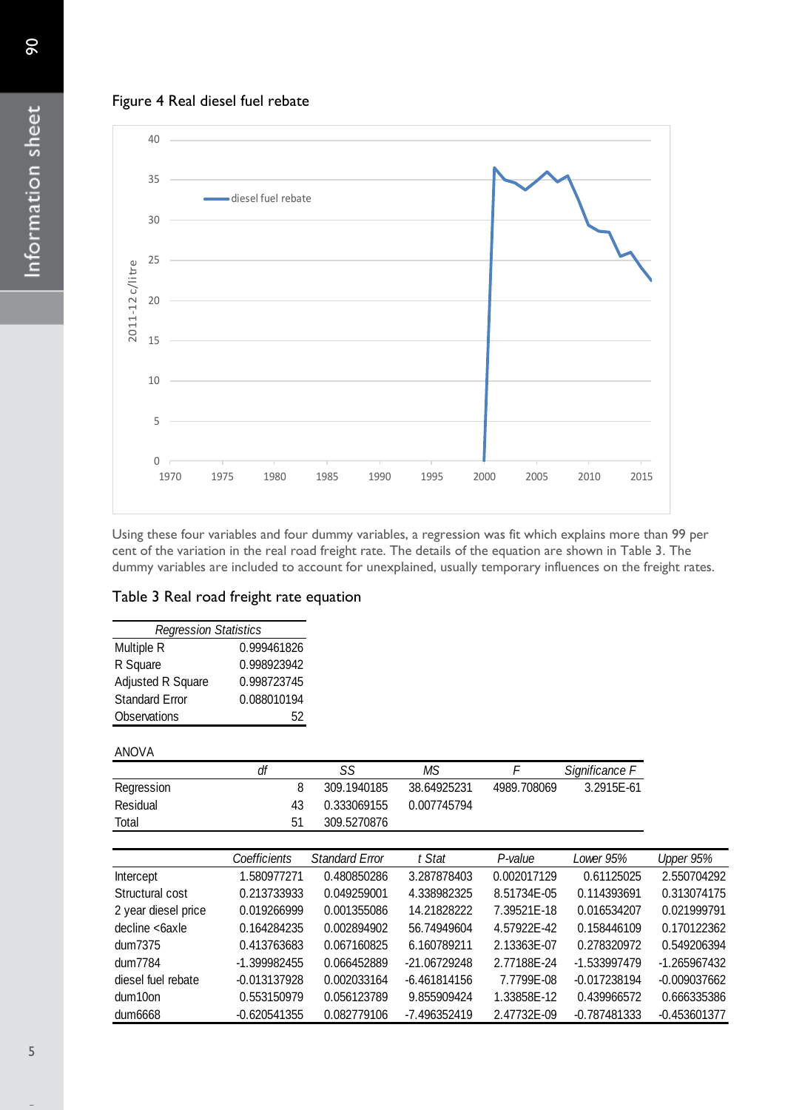



Using these four variables and four dummy variables, a regression was fit which explains more than 99 per cent of the variation in the real road freight rate. The details of the equation are shown in Table 3. The dummy variables are included to account for unexplained, usually temporary influences on the freight rates.

### Table 3 Real road freight rate equation

| <b>Regression Statistics</b> |             |  |  |  |  |  |
|------------------------------|-------------|--|--|--|--|--|
| Multiple R                   | 0.999461826 |  |  |  |  |  |
| R Square                     | 0.998923942 |  |  |  |  |  |
| Adjusted R Square            | 0.998723745 |  |  |  |  |  |
| <b>Standard Error</b>        | 0.088010194 |  |  |  |  |  |
| Observations                 | 52          |  |  |  |  |  |

### ANOVA

| Observations | 52 |             |             |             |                |
|--------------|----|-------------|-------------|-------------|----------------|
| ANOVA        |    |             |             |             |                |
|              | df | SS          | MS          |             | Significance F |
| Regression   | 8  | 309.1940185 | 38.64925231 | 4989.708069 | 3.2915E-61     |
| Residual     | 43 | 0.333069155 | 0.007745794 |             |                |
| Total        | 51 | 309.5270876 |             |             |                |

|                     | Coefficients   | <b>Standard Error</b> | t Stat         | P-value     | Lower 95%      | Upper 95%      |
|---------------------|----------------|-----------------------|----------------|-------------|----------------|----------------|
| Intercept           | 1.580977271    | 0.480850286           | 3.287878403    | 0.002017129 | 0.61125025     | 2.550704292    |
| Structural cost     | 0.213733933    | 0.049259001           | 4.338982325    | 8.51734E-05 | 0.114393691    | 0.313074175    |
| 2 year diesel price | 0.019266999    | 0.001355086           | 14.21828222    | 7.39521E-18 | 0.016534207    | 0.021999791    |
| decline <6axle      | 0.164284235    | 0.002894902           | 56.74949604    | 4.57922E-42 | 0.158446109    | 0.170122362    |
| dum7375             | 0.413763683    | 0.067160825           | 6.160789211    | 2.13363E-07 | 0.278320972    | 0.549206394    |
| dum7784             | -1.399982455   | 0.066452889           | -21.06729248   | 2.77188E-24 | $-1.533997479$ | -1.265967432   |
| diesel fuel rebate  | $-0.013137928$ | 0.002033164           | $-6.461814156$ | 7.7799E-08  | $-0.017238194$ | $-0.009037662$ |
| dum10on             | 0.553150979    | 0.056123789           | 9.855909424    | 1.33858E-12 | 0.439966572    | 0.666335386    |
| dum6668             | $-0.620541355$ | 0.082779106           | -7.496352419   | 2.47732E-09 | $-0.787481333$ | $-0.453601377$ |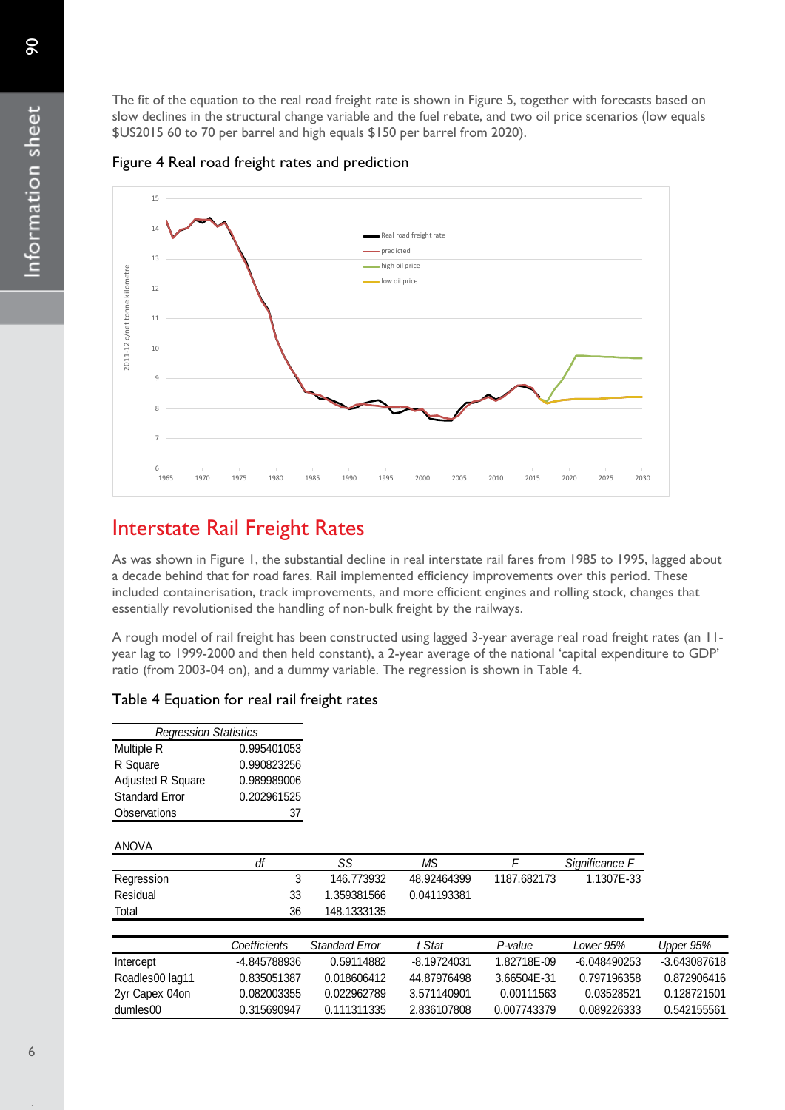The fit of the equation to the real road freight rate is shown in Figure 5, together with forecasts based on slow declines in the structural change variable and the fuel rebate, and two oil price scenarios (low equals \$US2015 60 to 70 per barrel and high equals \$150 per barrel from 2020).

### Figure 4 Real road freight rates and prediction



## Interstate Rail Freight Rates

As was shown in Figure 1, the substantial decline in real interstate rail fares from 1985 to 1995, lagged about a decade behind that for road fares. Rail implemented efficiency improvements over this period. These included containerisation, track improvements, and more efficient engines and rolling stock, changes that essentially revolutionised the handling of non-bulk freight by the railways.

A rough model of rail freight has been constructed using lagged 3-year average real road freight rates (an 11 year lag to 1999-2000 and then held constant), a 2-year average of the national 'capital expenditure to GDP' ratio (from 2003-04 on), and a dummy variable. The regression is shown in Table 4.

### Table 4 Equation for real rail freight rates

| <b>Regression Statistics</b> |             |  |  |  |  |
|------------------------------|-------------|--|--|--|--|
| Multiple R                   | 0.995401053 |  |  |  |  |
| R Square                     | 0.990823256 |  |  |  |  |
| <b>Adjusted R Square</b>     | 0.989989006 |  |  |  |  |
| <b>Standard Error</b>        | 0.202961525 |  |  |  |  |
| Observations                 | 37          |  |  |  |  |

#### ANOVA

| Observations    | 37           |                       |               |             |                |              |
|-----------------|--------------|-----------------------|---------------|-------------|----------------|--------------|
| <b>ANOVA</b>    |              |                       |               |             |                |              |
|                 | df           | SS                    | ΜS            |             | Significance F |              |
| Regression      | 3            | 146.773932            | 48.92464399   | 1187.682173 | 1.1307E-33     |              |
| Residual        | 33           | 1.359381566           | 0.041193381   |             |                |              |
| Total           | 36           | 148.1333135           |               |             |                |              |
|                 | Coefficients | <b>Standard Error</b> | t Stat        | P-value     | Lower 95%      | Upper 95%    |
| Intercept       | -4.845788936 | 0.59114882            | $-8.19724031$ | 1.82718E-09 | $-6.048490253$ | -3.643087618 |
| Roadles00 lag11 | 0.835051387  | 0.018606412           | 44.87976498   | 3.66504E-31 | 0.797196358    | 0.872906416  |
| 2yr Capex 04on  | 0.082003355  | 0.022962789           | 3.571140901   | 0.00111563  | 0.03528521     | 0.128721501  |
| dumles00        | 0.315690947  | 0.111311335           | 2.836107808   | 0.007743379 | 0.089226333    | 0.542155561  |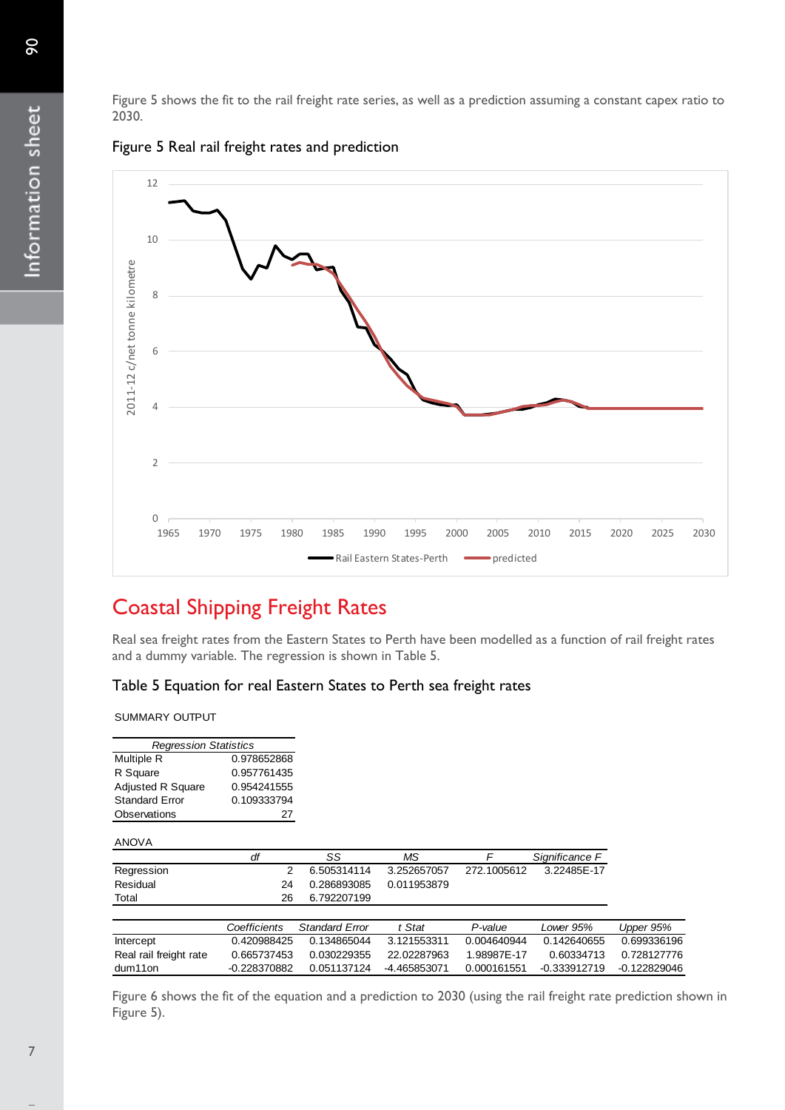Figure 5 shows the fit to the rail freight rate series, as well as a prediction assuming a constant capex ratio to 2030.





# Coastal Shipping Freight Rates

Real sea freight rates from the Eastern States to Perth have been modelled as a function of rail freight rates and a dummy variable. The regression is shown in Table 5.

### Table 5 Equation for real Eastern States to Perth sea freight rates

SUMMARY OUTPUT

| <b>Regression Statistics</b> |                |                       |              |             |                |                |
|------------------------------|----------------|-----------------------|--------------|-------------|----------------|----------------|
| Multiple R                   | 0.978652868    |                       |              |             |                |                |
| R Square                     | 0.957761435    |                       |              |             |                |                |
| <b>Adjusted R Square</b>     | 0.954241555    |                       |              |             |                |                |
| <b>Standard Error</b>        | 0.109333794    |                       |              |             |                |                |
| Observations                 | 27             |                       |              |             |                |                |
| <b>ANOVA</b>                 |                |                       |              |             |                |                |
|                              | df             | SS                    | MS.          | F           | Significance F |                |
| Regression                   | 2              | 6.505314114           | 3.252657057  | 272.1005612 | 3.22485E-17    |                |
| Residual                     | 24             | 0.286893085           | 0.011953879  |             |                |                |
| Total                        | 26             | 6.792207199           |              |             |                |                |
|                              |                |                       |              |             |                |                |
|                              | Coefficients   | <b>Standard Error</b> | t Stat       | P-value     | Lower 95%      | Upper 95%      |
| Intercept                    | 0.420988425    | 0.134865044           | 3.121553311  | 0.004640944 | 0.142640655    | 0.699336196    |
| Real rail freight rate       | 0.665737453    | 0.030229355           | 22.02287963  | 1.98987E-17 | 0.60334713     | 0.728127776    |
| dum11on                      | $-0.228370882$ | 0.051137124           | -4.465853071 | 0.000161551 | -0.333912719   | $-0.122829046$ |
|                              |                |                       |              |             |                |                |

Figure 6 shows the fit of the equation and a prediction to 2030 (using the rail freight rate prediction shown in Figure 5).

 $\infty$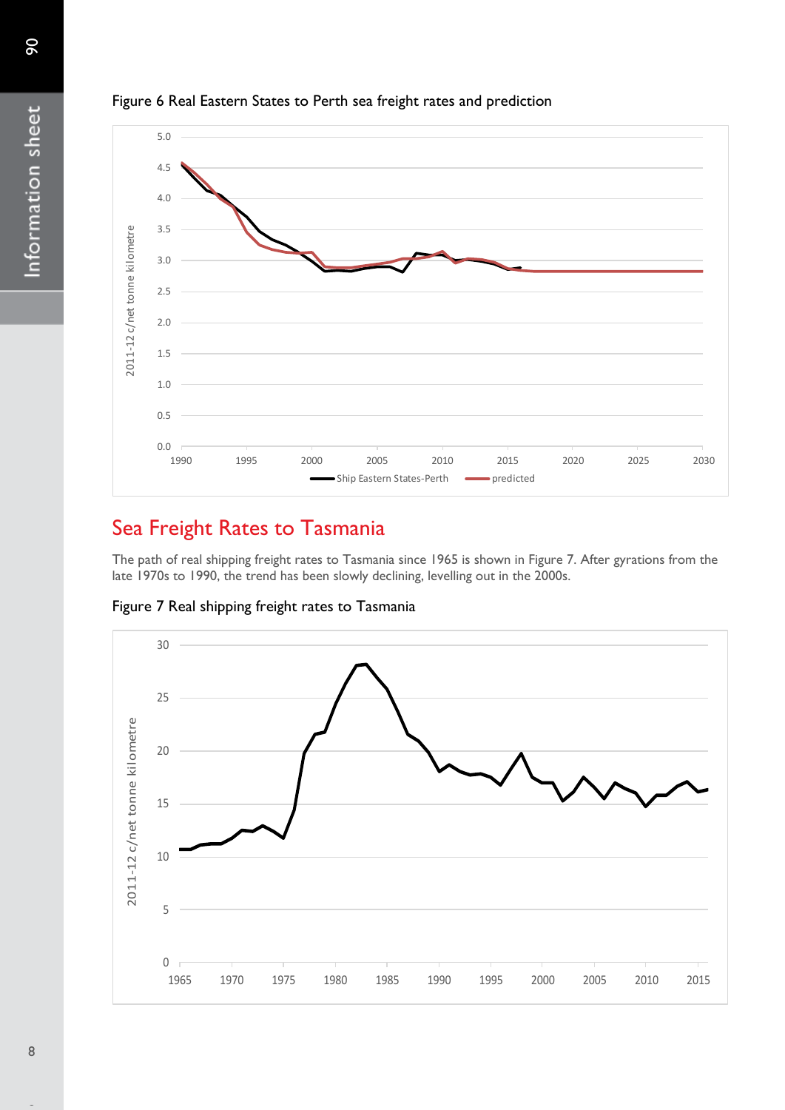

### Figure 6 Real Eastern States to Perth sea freight rates and prediction

# Sea Freight Rates to Tasmania

The path of real shipping freight rates to Tasmania since 1965 is shown in Figure 7. After gyrations from the late 1970s to 1990, the trend has been slowly declining, levelling out in the 2000s.

Figure 7 Real shipping freight rates to Tasmania

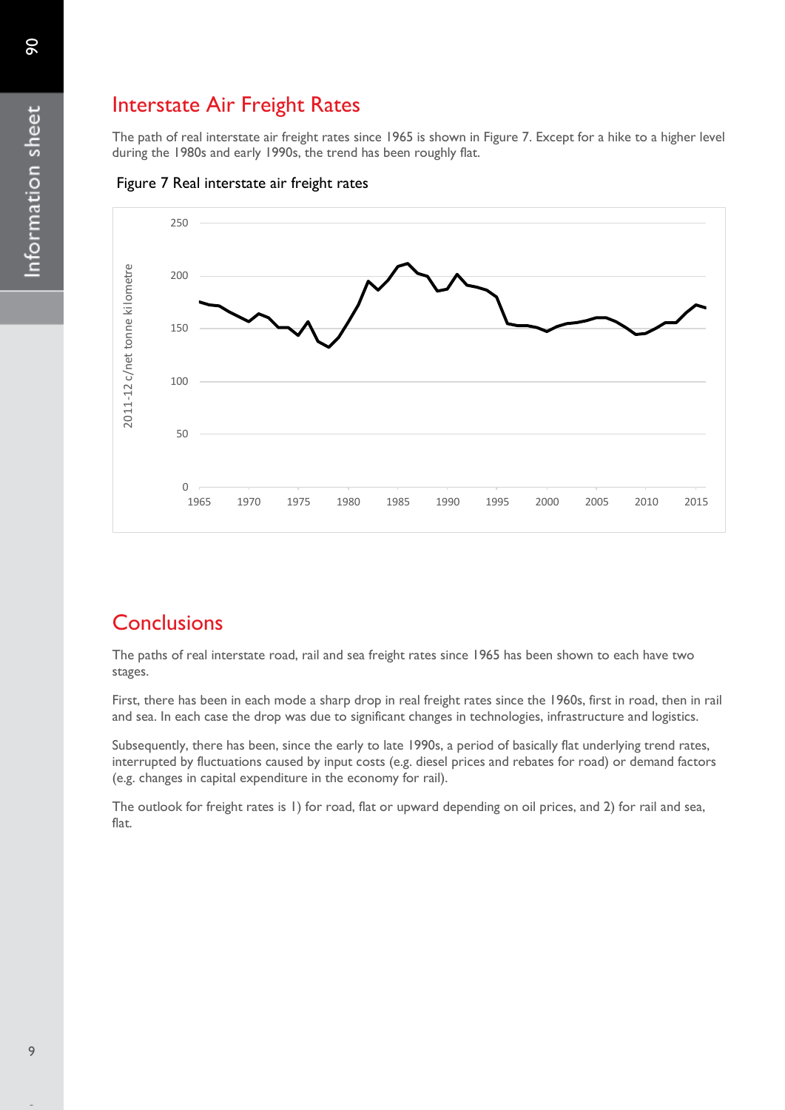# Interstate Air Freight Rates

The path of real interstate air freight rates since 1965 is shown in Figure 7. Except for a hike to a higher level during the 1980s and early 1990s, the trend has been roughly flat.





## **Conclusions**

The paths of real interstate road, rail and sea freight rates since 1965 has been shown to each have two stages.

First, there has been in each mode a sharp drop in real freight rates since the 1960s, first in road, then in rail and sea. In each case the drop was due to significant changes in technologies, infrastructure and logistics.

Subsequently, there has been, since the early to late 1990s, a period of basically flat underlying trend rates, interrupted by fluctuations caused by input costs (e.g. diesel prices and rebates for road) or demand factors (e.g. changes in capital expenditure in the economy for rail).

The outlook for freight rates is 1) for road, flat or upward depending on oil prices, and 2) for rail and sea, flat.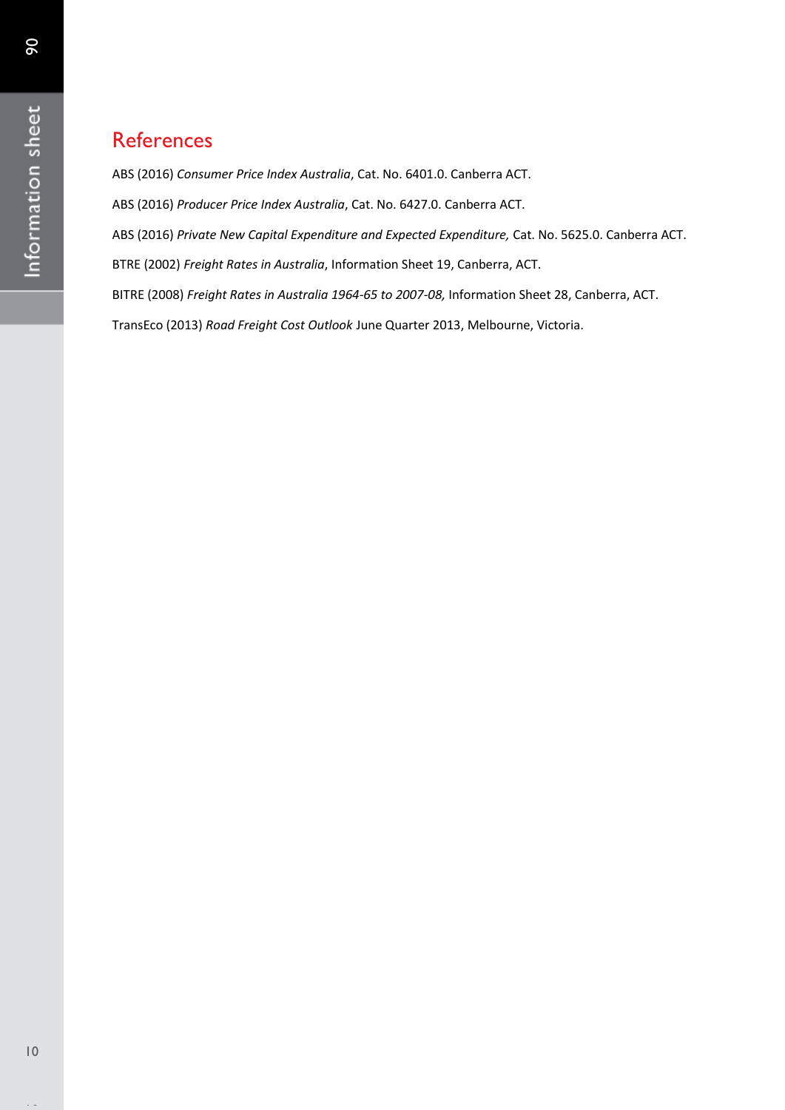ABS (2016) *Consumer Price Index Australia*, Cat. No. 6401.0. Canberra ACT.

ABS (2016) *Producer Price Index Australia*, Cat. No. 6427.0. Canberra ACT.

ABS (2016) *Private New Capital Expenditure and Expected Expenditure,* Cat. No. 5625.0. Canberra ACT.

BTRE (2002) *Freight Rates in Australia*, Information Sheet 19, Canberra, ACT.

BITRE (2008) *Freight Rates in Australia 1964-65 to 2007-08,* Information Sheet 28, Canberra, ACT.

TransEco (2013) *Road Freight Cost Outlook* June Quarter 2013, Melbourne, Victoria.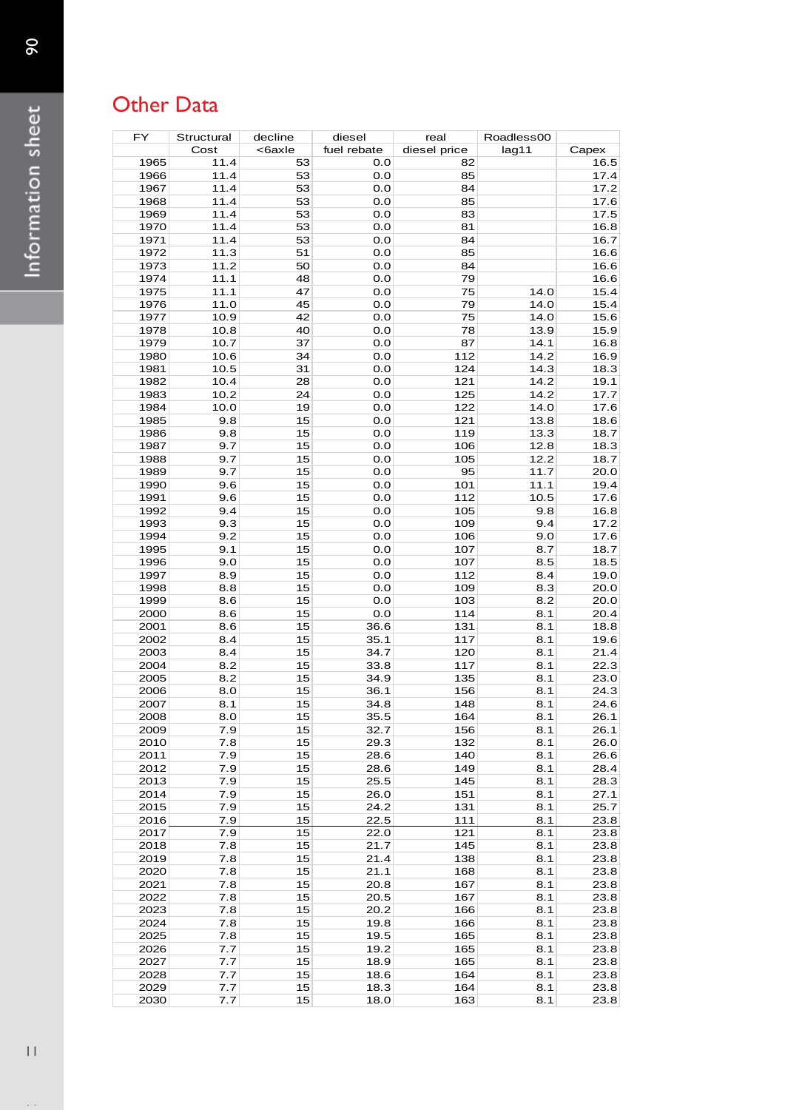# Other Data

| FY           | Structural   | decline  | diesel       | real         | Roadless00   |              |
|--------------|--------------|----------|--------------|--------------|--------------|--------------|
|              | Cost         | <6axle   | fuel rebate  | diesel price | lag11        | Capex        |
| 1965         | 11.4         | 53       | 0.0          | 82           |              | 16.5         |
| 1966         | 11.4         | 53       | 0.0          | 85           |              | 17.4         |
| 1967         | 11.4         | 53       | 0.0          | 84           |              | 17.2         |
| 1968         | 11.4         | 53       | 0.0          | 85           |              | 17.6         |
| 1969         | 11.4         | 53       | 0.0          | 83           |              | 17.5         |
| 1970         | 11.4         | 53       | 0.0          | 81           |              | 16.8         |
| 1971         | 11.4         | 53       | 0.0          | 84           |              | 16.7         |
| 1972         | 11.3         | 51       | 0.0          | 85           |              | 16.6         |
| 1973         | 11.2         | 50       | 0.0          | 84           |              | 16.6         |
| 1974         | 11.1         | 48       | 0.0          | 79           |              | 16.6         |
| 1975         | 11.1         | 47       | 0.0          | 75           | 14.0         | 15.4         |
| 1976         | 11.0         | 45       | 0.0          | 79           | 14.0         | 15.4         |
| 1977         | 10.9         | 42       | 0.0          | 75           | 14.0         | 15.6         |
| 1978         | 10.8         | 40       | 0.0          | 78           | 13.9         | 15.9         |
| 1979<br>1980 | 10.7         | 37<br>34 | 0.0<br>0.0   | 87<br>112    | 14.1<br>14.2 | 16.8<br>16.9 |
| 1981         | 10.6<br>10.5 | 31       | 0.0          | 124          | 14.3         | 18.3         |
| 1982         | 10.4         | 28       | 0.0          | 121          | 14.2         | 19.1         |
| 1983         | 10.2         | 24       | 0.0          | 125          | 14.2         | 17.7         |
| 1984         | 10.0         | 19       | 0.0          | 122          | 14.0         | 17.6         |
| 1985         | 9.8          | 15       | 0.0          | 121          | 13.8         | 18.6         |
| 1986         | 9.8          | 15       | 0.0          | 119          | 13.3         | 18.7         |
| 1987         | 9.7          | 15       | 0.0          | 106          | 12.8         | 18.3         |
| 1988         | 9.7          | 15       | 0.0          | 105          | 12.2         | 18.7         |
| 1989         | 9.7          | 15       | 0.0          | 95           | 11.7         | 20.0         |
| 1990         | 9.6          | 15       | 0.0          | 101          | 11.1         | 19.4         |
| 1991         | 9.6          | 15       | 0.0          | 112          | 10.5         | 17.6         |
| 1992         | 9.4          | 15       | 0.0          | 105          | 9.8          | 16.8         |
| 1993         | 9.3          | 15       | 0.0          | 109          | 9.4          | 17.2         |
| 1994         | 9.2          | 15       | 0.0          | 106          | 9.0          | 17.6         |
| 1995         | 9.1          | 15       | 0.0          | 107          | 8.7          | 18.7         |
| 1996         | 9.0          | 15       | 0.0          | 107          | 8.5          | 18.5         |
| 1997         | 8.9          | 15       | 0.0          | 112          | 8.4          | 19.0         |
| 1998         | 8.8          | 15       | 0.0          | 109          | 8.3          | 20.0         |
| 1999         | 8.6          | 15       | 0.0          | 103          | 8.2          | 20.0         |
| 2000         | 8.6          | 15       | 0.0          | 114          | 8.1          | 20.4         |
| 2001         | 8.6          | 15       | 36.6         | 131          | 8.1          | 18.8         |
| 2002         | 8.4          | 15       | 35.1         | 117          | 8.1          | 19.6         |
| 2003         | 8.4          | 15       | 34.7         | 120          | 8.1          | 21.4         |
| 2004         | 8.2          | 15       | 33.8         | 117          | 8.1          | 22.3         |
| 2005         | 8.2          | 15       | 34.9         | 135          | 8.1          | 23.0         |
| 2006         | 8.0          | 15       | 36.1         | 156          | 8.1          | 24.3         |
| 2007         | 8.1          | 15       | 34.8         | 148          | 8.1          | 24.6         |
| 2008         | 8.0          | 15       | 35.5         | 164          | 8.1          | 26.1         |
| 2009         | 7.9          | 15       | 32.7         | 156          | 8.1          | 26.1         |
| 2010         | 7.8          | 15       | 29.3         | 132          | 8.1          | 26.0         |
| 2011         | 7.9          | 15       | 28.6         | 140          | 8.1          | 26.6         |
| 2012         | 7.9          | 15       | 28.6         | 149          | 8.1          | 28.4         |
| 2013         | 7.9          | 15       | 25.5         | 145          | 8.1          | 28.3         |
| 2014         | 7.9          | 15       | 26.0         | 151          | 8.1          | 27.1         |
| 2015<br>2016 | 7.9          | 15       | 24.2         | 131          | 8.1          | 25.7         |
| 2017         | 7.9<br>7.9   | 15<br>15 | 22.5         | 111<br>121   | 8.1<br>8.1   | 23.8<br>23.8 |
| 2018         | 7.8          | 15       | 22.0<br>21.7 | 145          | 8.1          | 23.8         |
| 2019         | 7.8          | 15       | 21.4         | 138          | 8.1          | 23.8         |
| 2020         | 7.8          | 15       | 21.1         | 168          | 8.1          | 23.8         |
| 2021         | 7.8          | 15       | 20.8         | 167          | 8.1          | 23.8         |
| 2022         | 7.8          | 15       | 20.5         | 167          | 8.1          | 23.8         |
| 2023         | 7.8          | 15       | 20.2         | 166          | 8.1          | 23.8         |
| 2024         | 7.8          | 15       | 19.8         | 166          | 8.1          | 23.8         |
| 2025         | 7.8          | 15       | 19.5         | 165          | 8.1          | 23.8         |
| 2026         | 7.7          | 15       | 19.2         | 165          | 8.1          | 23.8         |
| 2027         | 7.7          | 15       | 18.9         | 165          | 8.1          | 23.8         |
| 2028         | 7.7          | 15       | 18.6         | 164          | 8.1          | 23.8         |
| 2029         | 7.7          | 15       | 18.3         | 164          | 8.1          | 23.8         |
| 2030         | 7.7          | 15       | 18.0         | 163          | 8.1          | 23.8         |

 $\sim$